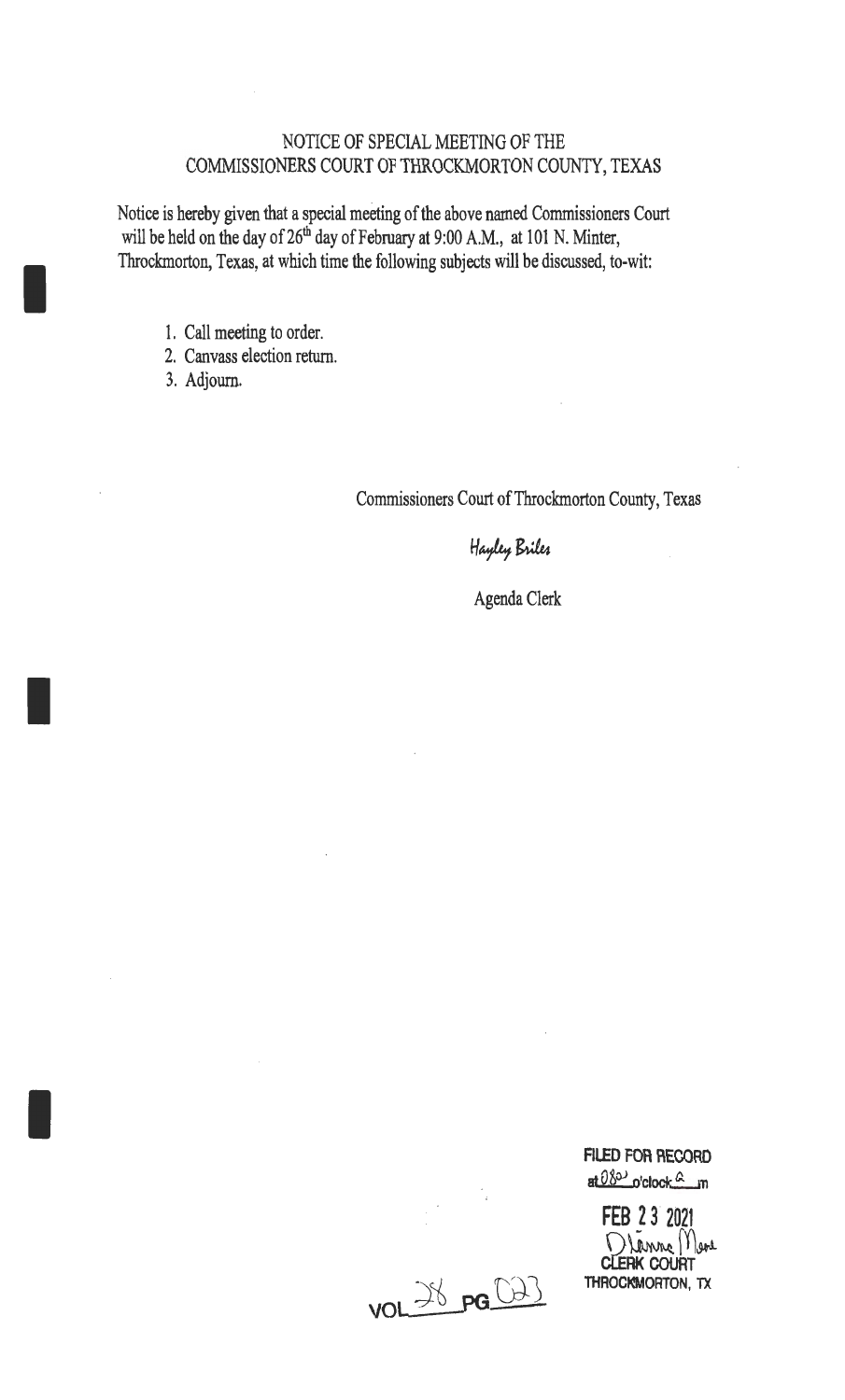## NOTICE OF SPECIAL MEETING OF THE COMMISSIONERS COURT OF THROCKMORTON COUNTY, TEXAS

Notice is hereby given that a special meeting of the above named Commissioners Court will be held on the day of  $26<sup>th</sup>$  day of February at 9:00 A.M., at 101 N. Minter, Throckmorton, Texas, at which time the following subjects will be discussed, to-wit:

- 1. Call meeting to order.
- 2. Canvass election return.
- 3. Adjourn.

I

I

I

Commissioners Court of Throckmorton County, Texas

Hayley Briles

Agenda Clerk

at 08<sup>3</sup> o'clock<sup>c</sup> n **FEB 2 3· 2021**  Dlanne Mere **clERK COURT THROCKMORTON, TX** 

**FILED FOR RECORD** 

<u>VOL 38 pg (2)</u>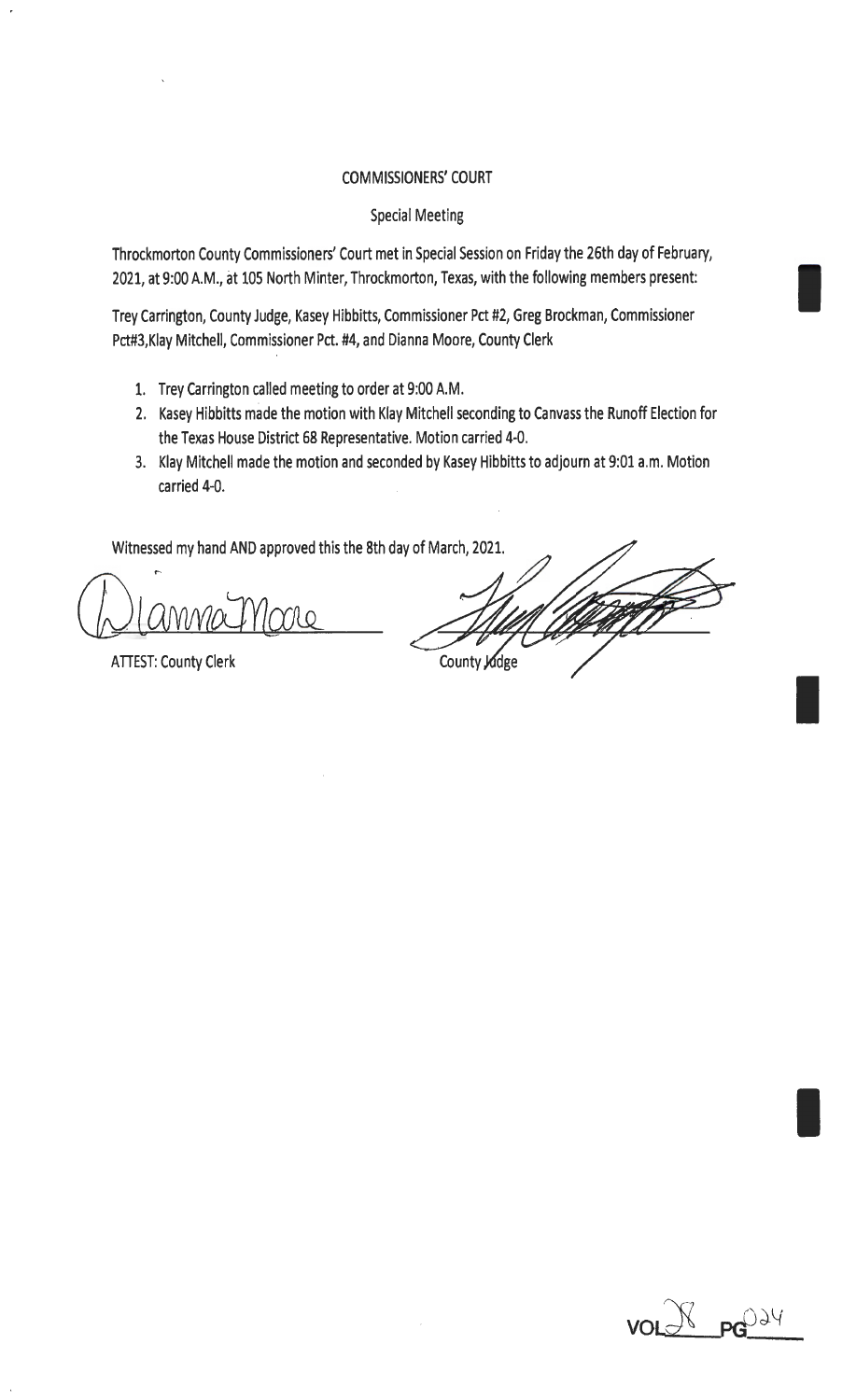#### COMMISSIONERS' COURT

#### Special Meeting

Throckmorton County Commissioners' Court met in Special Session on Friday the 26th day of February, 2021, at 9:00 A.M., at 105 North Minter, Throckmorton, Texas, with the following members present:

Trey Carrington, County Judge, Kasey Hibbitts, Commissioner Pct #2, Greg Brockman, Commissioner Pct#3,Klay Mitchell, Commissioner Pct. #4, and Dianna Moore, County Clerk

- 1. Trey Carrington called meeting to order at 9:00 A.M.
- 2. Kasey Hibbitts made the motion with Klay Mitchell seconding to Canvass the Runoff Election for the Texas House District 68 Representative. Motion carried 4-0.
- 3. Klay Mitchell made the motion and seconded by Kasey Hibbitts to adjourn at 9:01 a.m. Motion carried 4-0.

Witnessed my hand AND approved this the 8th day of March, 2021.

Trno

ATIEST: County Clerk

County Judge

I

I

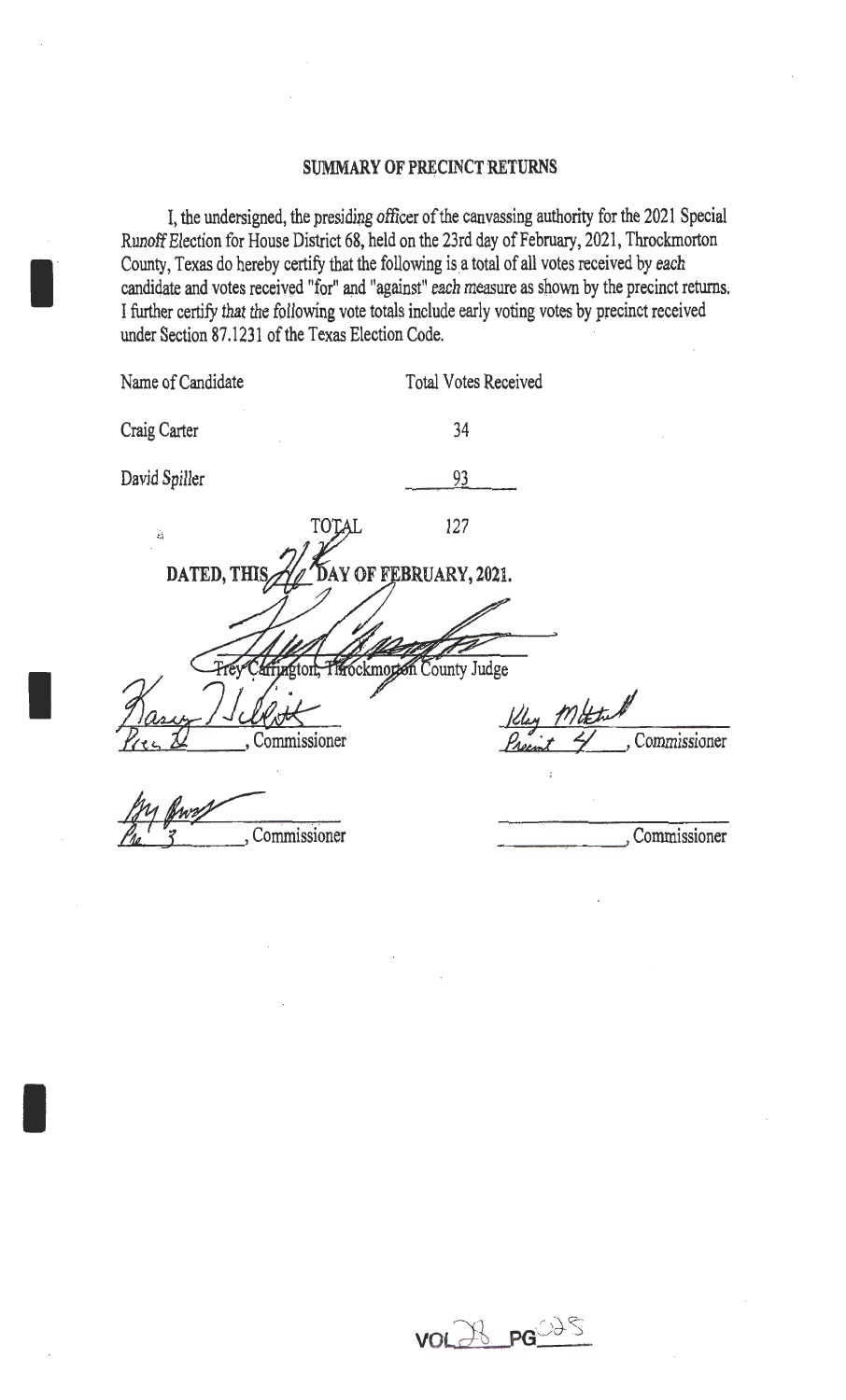#### SUMMARY OF PRECINCT RETURNS

I, the undersigned, the presiding officer of the canvassing authority for the 2021 Special Runoff Election for House District 68, held on the 23rd day of February, 2021, Throckmorton County, Texas do hereby certify that the following is a total of all votes received by each candidate and votes received "for" and "against" each measure as shown by the precinct returns. I further certify that the following vote totals include early voting votes by precinct received under Section 87.1231 of the Texas Election Code.

I

I

| Name of Candidate |                                      | <b>Total Votes Received</b> |             |              |
|-------------------|--------------------------------------|-----------------------------|-------------|--------------|
| Craig Carter      |                                      | 34                          |             |              |
| David Spiller     |                                      | 93                          |             |              |
| Ä,                | TOTAL                                | 127                         |             |              |
| DATED, THIS       |                                      | DAY OF FEBRUARY, 2021.      |             |              |
|                   |                                      |                             |             |              |
|                   | arriagton, Throckmotion County Judge |                             |             |              |
|                   |                                      |                             | Kley Mittel |              |
|                   | , Commissioner                       |                             |             | Commissioner |
|                   |                                      |                             |             |              |
|                   | Commissioner                         |                             |             | Commissioner |

VOLAB PG 235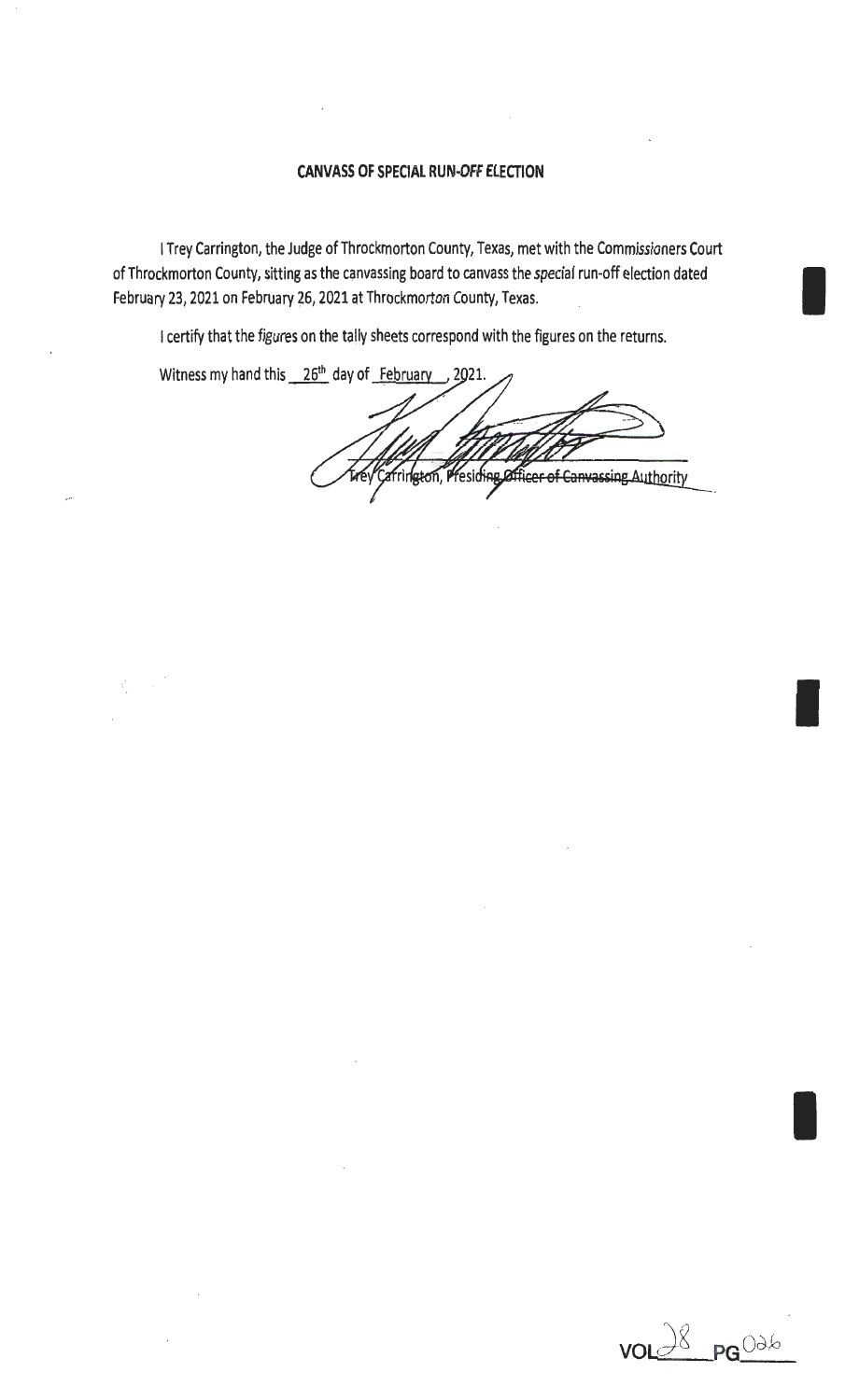#### **CANVASS OF SPECIAL** RUN~OFF **ELECTION**

I Trey Carrington, the Judge of Throckmorton County, Texas, met with the Commissioners Court of Throckmorton County, sitting as the canvassing board to canvass the special run-off election dated I February 23, 2021 on February 26, 2021 at Throckmorton County, Texas.

I certify that the figures on the tally sheets correspond with the figures on the returns.

Witness my hand this  $26<sup>th</sup>$  day of February 2021.

Presiding Officer of Canvassing Authority frington,



I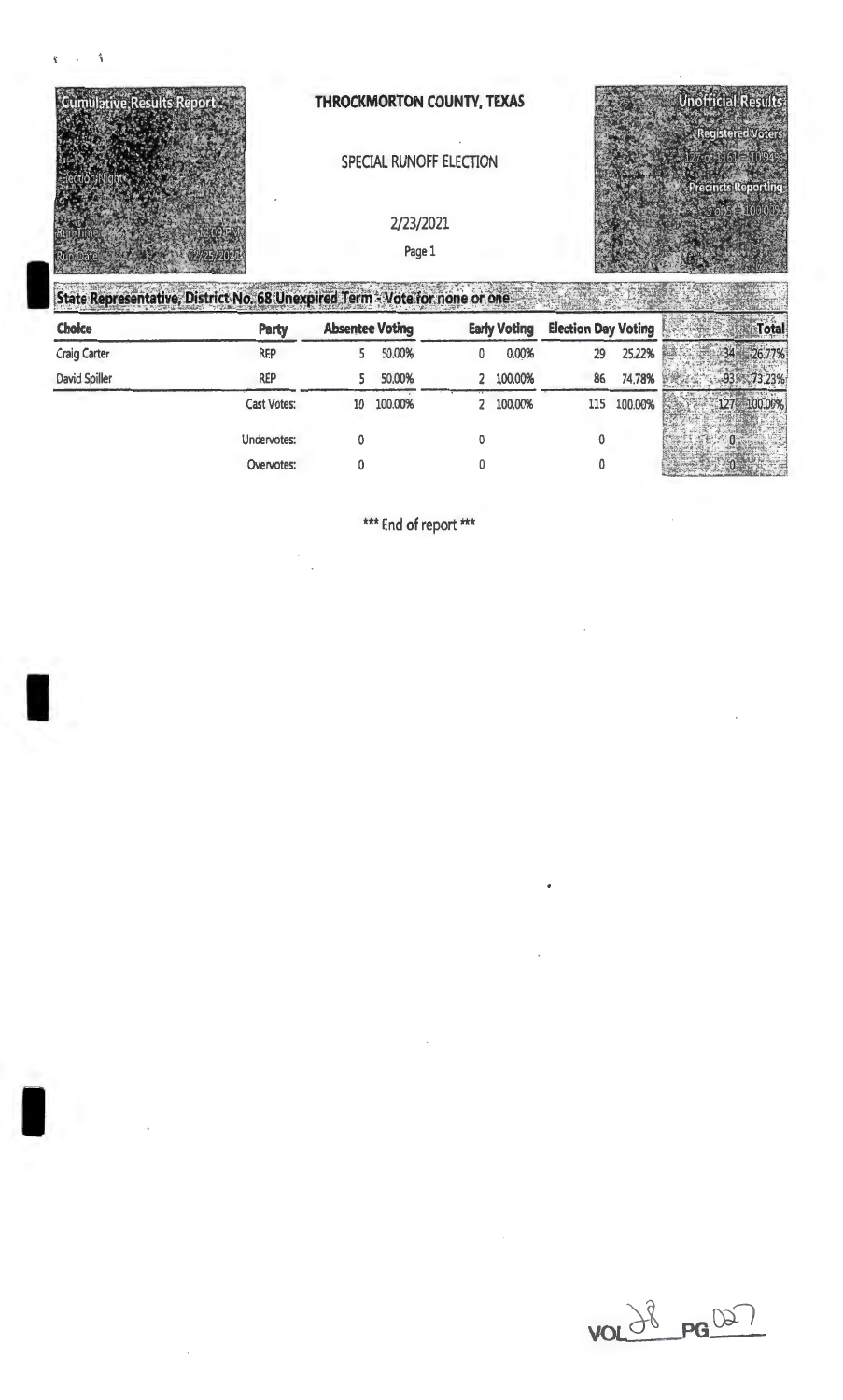

# SPECIAL RUNOFF ELECTION

2/23/2021

Page 1



|                     | State Representative, District No. 68 Unexpired Term - Vote for none or one. |                        |         |   |                     |                            |         |              |
|---------------------|------------------------------------------------------------------------------|------------------------|---------|---|---------------------|----------------------------|---------|--------------|
| <b>Choice</b>       | <b>Party</b>                                                                 | <b>Absentee Voting</b> |         |   | <b>Early Voting</b> | <b>Election Day Voting</b> |         | <b>Total</b> |
| <b>Craig Carter</b> | <b>REP</b>                                                                   |                        | 50.00%  | 0 | 0.00%               | 29                         | 25.22%  |              |
| David Spiller       | <b>REP</b>                                                                   |                        | 50,00%  |   | 2 100.00%           | 86                         | 74.78%  |              |
|                     | <b>Cast Votes:</b>                                                           | 10                     | 100.00% |   | 2 100,00%           | 115                        | 100.00% |              |
|                     | Undervotes:                                                                  |                        |         |   |                     | ٥                          |         |              |
|                     | Overvotes:                                                                   | ۵                      |         |   |                     |                            |         |              |

\*\*\* End of report \*\*\*

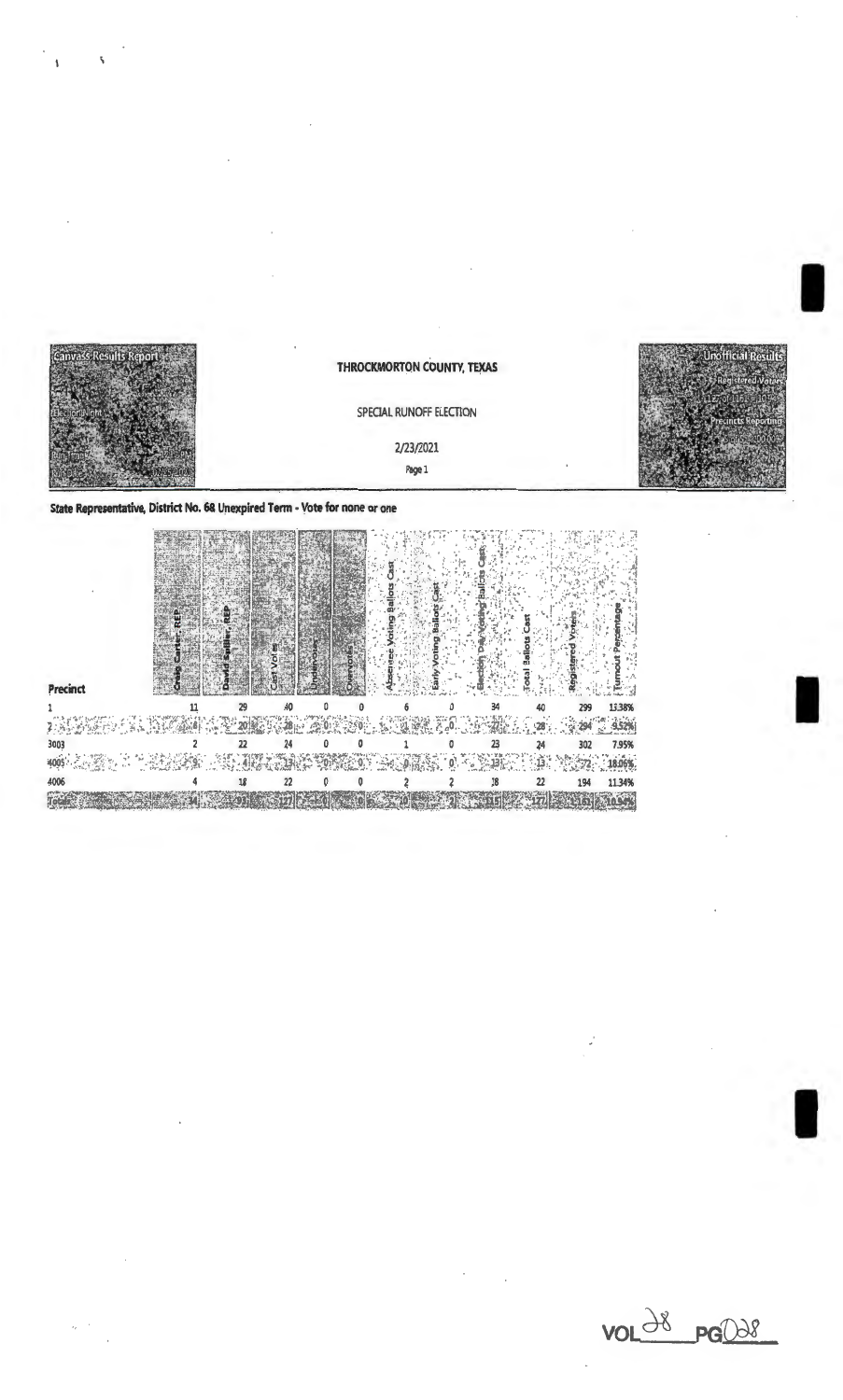

#### SPECIAL RUNOFF ELECTION

# 2/23/2021 Page 1

State Representative, District No. 68 Unexpired Term - Vote for none or one

| Precinct                                      |  |       |                |     |     |    |     |        |
|-----------------------------------------------|--|-------|----------------|-----|-----|----|-----|--------|
|                                               |  |       |                |     | 34  |    | 299 | 13,38% |
|                                               |  | SP 85 | 歌を 安。<br>隆遠 名。 |     |     |    |     | 9.52%  |
| 3003                                          |  |       |                |     |     | 24 | 302 | 7.95%  |
| $\frac{1}{2}$ , $\frac{1}{2}$ , $\frac{1}{2}$ |  |       |                | AT. | -17 |    |     |        |
| 4006                                          |  |       |                |     | 18  | 22 | 194 | 11.34% |
|                                               |  |       |                |     |     |    |     |        |

 $VOL^{\frac{18}{5}}PG^{\frac{100}{50}}$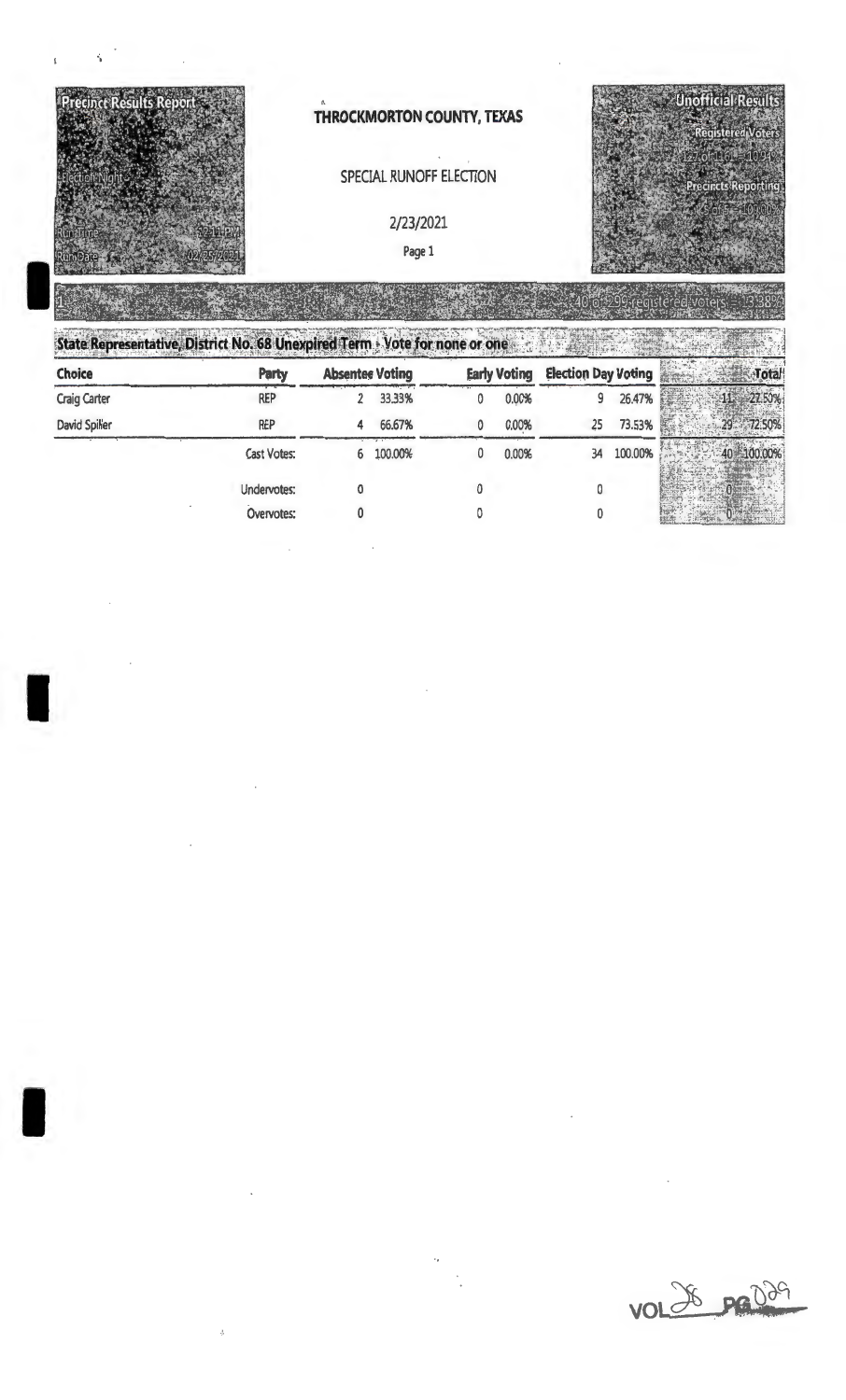

SPECIAL RUNOFF ELECTION

2/23/2021

Page 1



I

I

·,

33233494

| Choice              | <b>Party</b> | <b>Absentee Voting</b> |         | <b>Early Voting</b> | <b>Election Day Voting</b> |         | Total      |
|---------------------|--------------|------------------------|---------|---------------------|----------------------------|---------|------------|
| <b>Craig Carter</b> | <b>REP</b>   |                        | 33.33%  | 0.00%               |                            | 26.47%  | 27.50%     |
| David Spiller       | <b>REP</b>   | 4                      | 66.67%  | 0.00%               | 25                         | 73.53%  | 29 72.50%  |
|                     | Cast Votes:  | 6                      | 100.00% | 0.00%               | 34                         | 100.00% | 40 100.00% |
|                     | Undervotes:  |                        |         |                     |                            |         |            |
|                     | Overvotes:   |                        |         |                     |                            |         |            |

vol 26 pr 029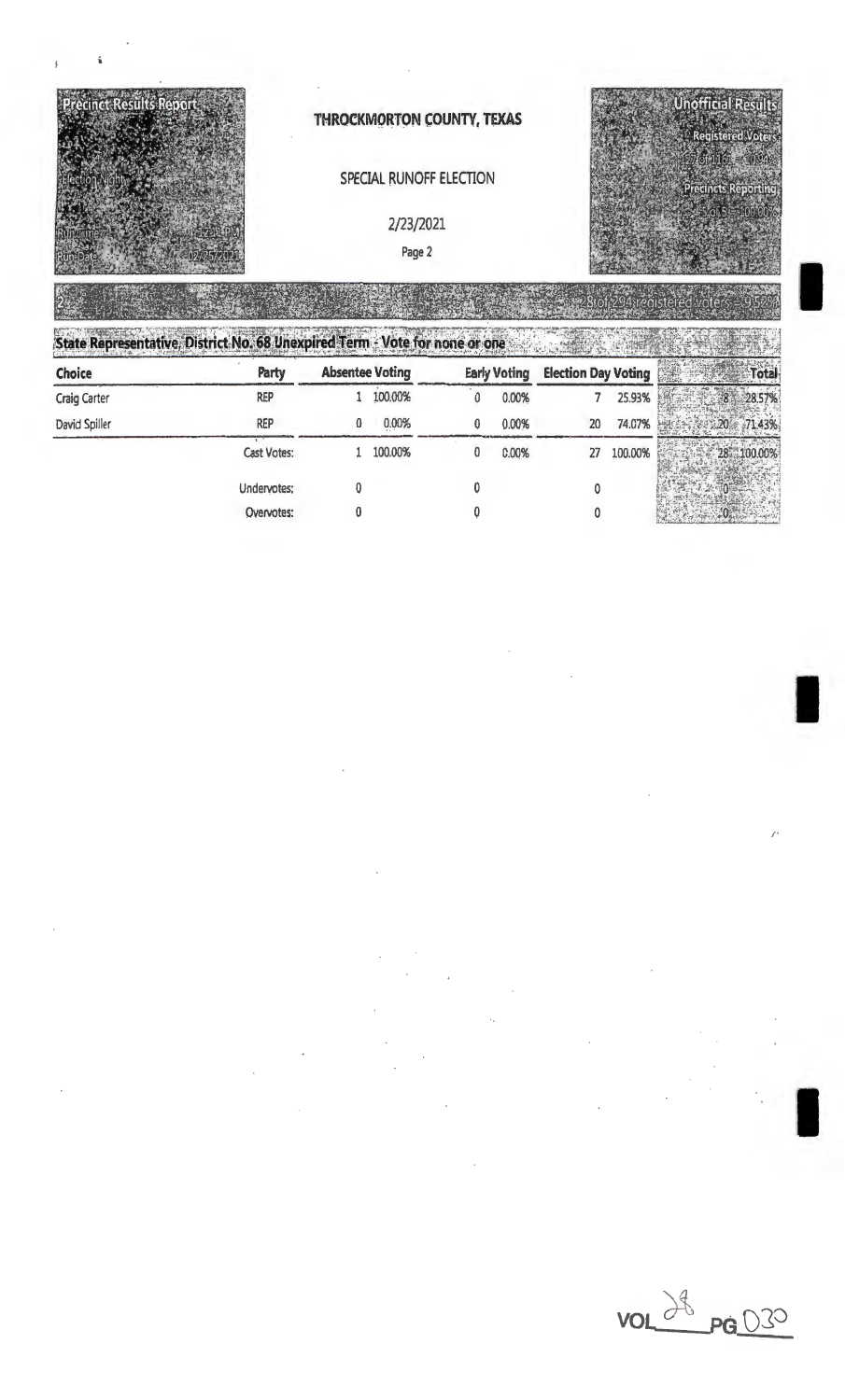

# SPECIAL RUNOFF ELECTION

### 2/23/2021

Page 2

**Unofficial Results** 

I

I

I

/'

State Representative, District No. 68 Unexpired Term - Vote for none or one

| 3818-1811-191 01 - 1 - 1 - 1 - 10 -<br><b>Choice</b> | Party       | <b>Absentee Voting</b> |         | <b>Early Voting</b> | <b>Election Day Voting</b> |         | <b>otal</b> |
|------------------------------------------------------|-------------|------------------------|---------|---------------------|----------------------------|---------|-------------|
| <b>Craig Carter</b>                                  | REP         |                        | 100.00% | 0.00%               |                            | 25.93%  |             |
| David Spiller                                        | <b>REP</b>  |                        | 0.00%   | 0.00%               | 20                         | 74.07%  | -71.43%     |
|                                                      | Cast Votes: |                        | 100.00% | C.00%               | 27                         | 100.00% | 100.00%     |
|                                                      | Undervotes: |                        |         |                     |                            |         |             |
|                                                      | Overvotes:  |                        |         |                     |                            |         |             |

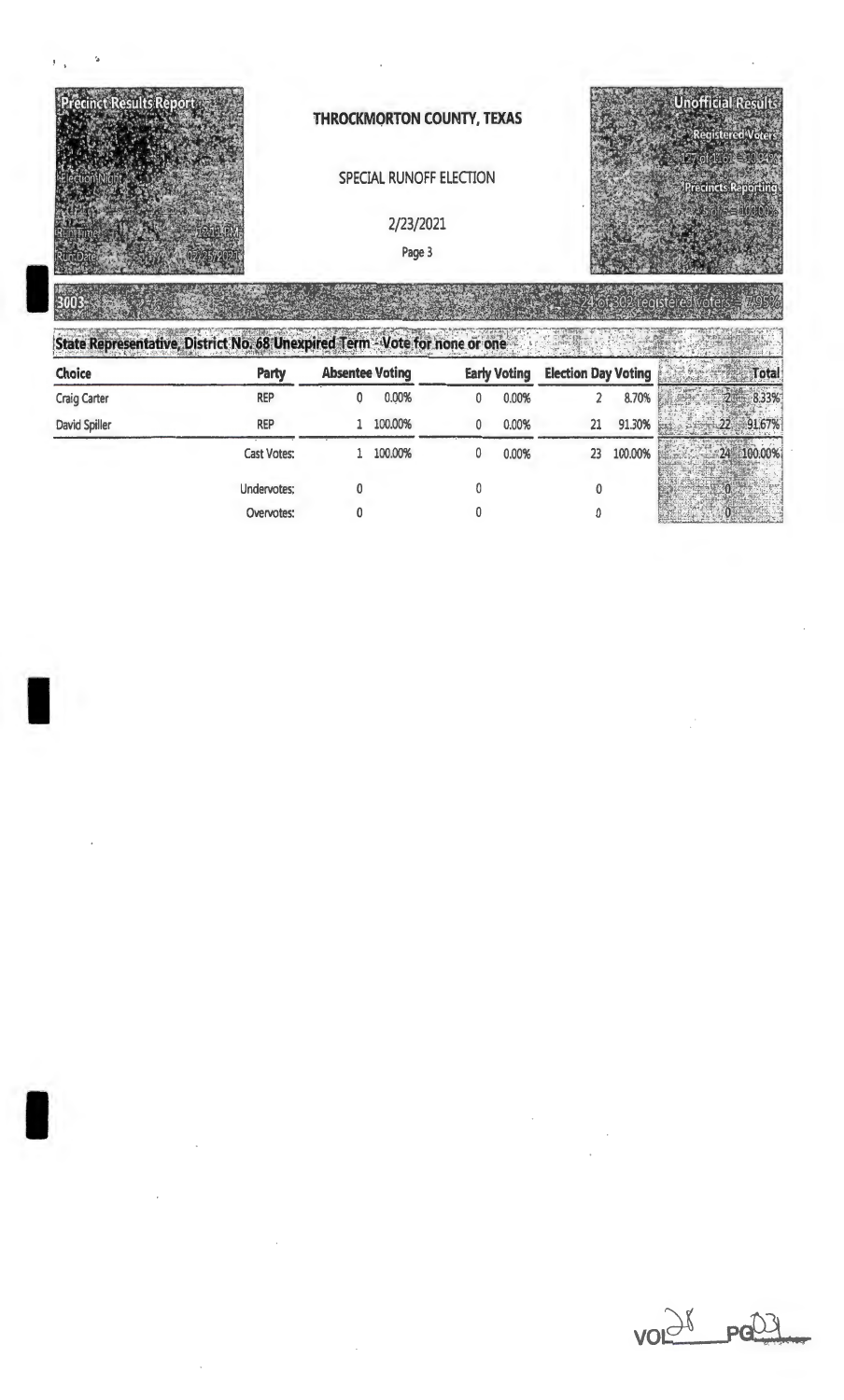

| Choice              | <b>Party</b>       | <b>Absentee Voting</b> |         | <b>Early Voting</b> | <b>Election Day Voting</b> |         | <b>Total</b> |
|---------------------|--------------------|------------------------|---------|---------------------|----------------------------|---------|--------------|
| <b>Craig Carter</b> | <b>REP</b>         |                        | 0.00%   | 0.00%               |                            | 8.70%   | 8.33%        |
| David Spiller       | <b>REP</b>         |                        | 100.00% | 0.00%               | 21                         | 91.30%  |              |
|                     | <b>Cast Votes:</b> |                        | 100.00% | 0.00%               | 23                         | 100.00% | 100.00%      |
|                     | Undervotes;        |                        |         |                     |                            |         |              |
|                     | Overvotes:         |                        |         |                     |                            |         |              |



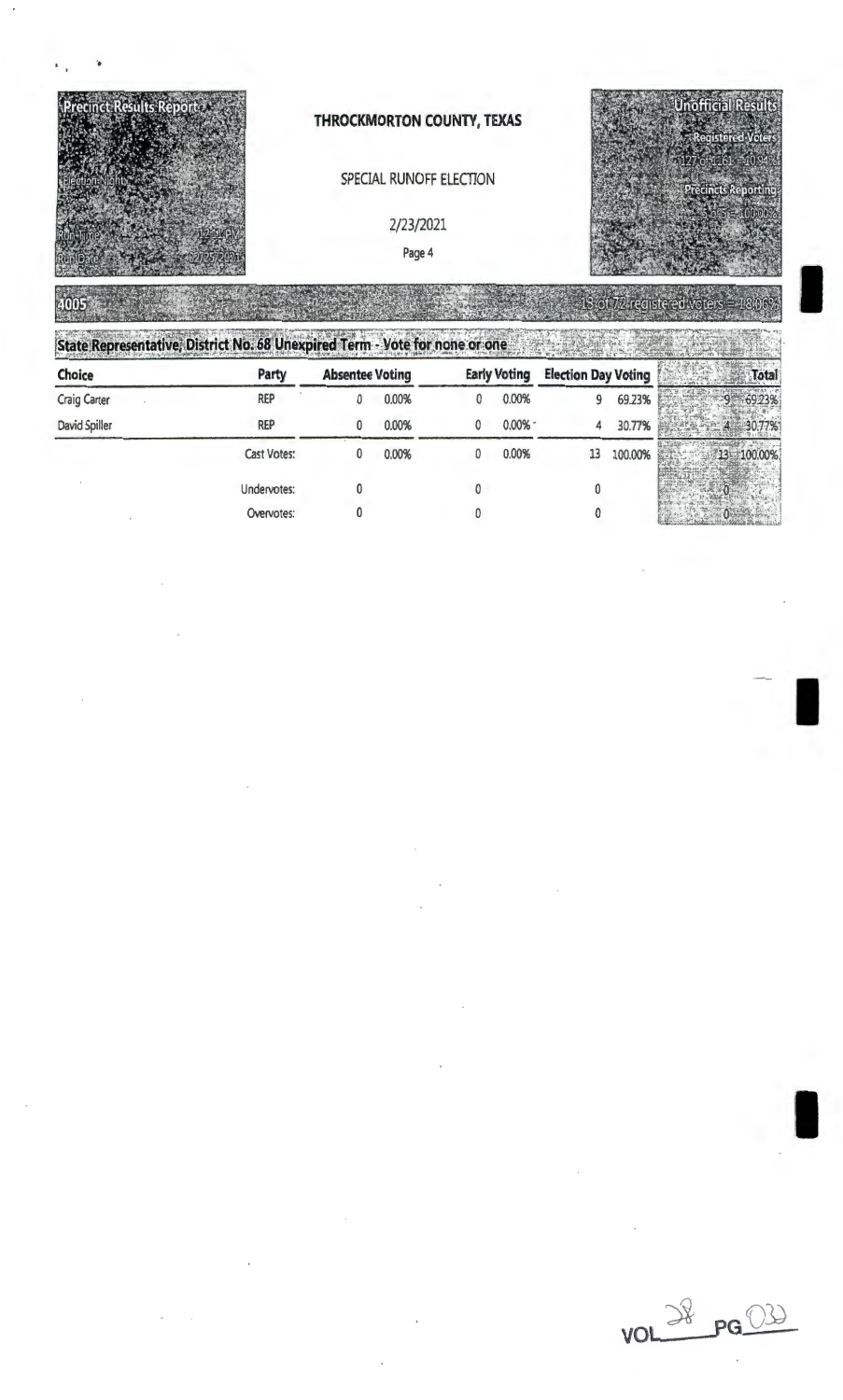

## SPECIAL RUNOFF ELECTION

2/23/2021

Page 4

**IN NATH** 



.

Unofficial Results

I

I

| State Representative, District No. 68 Unexpired Term - Vote for none or one |  |  |  |
|-----------------------------------------------------------------------------|--|--|--|
|                                                                             |  |  |  |

| Choice        | Party       | <b>Absentee Voting</b> |       | <b>Early Voting</b> |          | <b>Election Day Voting</b> |         | Tota       |  |
|---------------|-------------|------------------------|-------|---------------------|----------|----------------------------|---------|------------|--|
| Craig Carter  | <b>REP</b>  |                        | 0.00% | 0                   | 0.00%    | 9                          | 69.23%  | 6923%      |  |
| David Spiller | <b>REP</b>  | 0                      | 0.00% |                     | $0.00\%$ | 4                          | 30.77%  |            |  |
|               | Cast Votes: | 0                      | 0,00% | 0                   | 0.00%    | 13                         | 100.00% | 13 100.00% |  |
|               | Undervotes: |                        |       |                     |          |                            |         |            |  |
|               | Overvotes:  |                        |       |                     |          |                            |         |            |  |